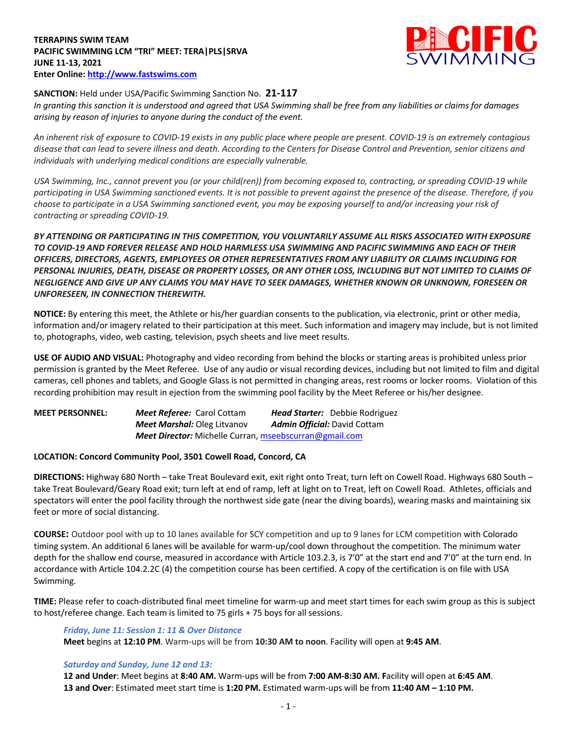### **TERRAPINS SWIM TEAM PACIFIC SWIMMING LCM "TRI" MEET: TERA|PLS|SRVA JUNE 11-13, 2021 Enter Online: http://www.fastswims.com**



## **SANCTION:** Held under USA/Pacific Swimming Sanction No. **21-117**

*In granting this sanction it is understood and agreed that USA Swimming shall be free from any liabilities or claims for damages arising by reason of injuries to anyone during the conduct of the event.* 

*An inherent risk of exposure to COVID-19 exists in any public place where people are present. COVID-19 is an extremely contagious disease that can lead to severe illness and death. According to the Centers for Disease Control and Prevention, senior citizens and individuals with underlying medical conditions are especially vulnerable.*

*USA Swimming, Inc., cannot prevent you (or your child(ren)) from becoming exposed to, contracting, or spreading COVID-19 while participating in USA Swimming sanctioned events. It is not possible to prevent against the presence of the disease. Therefore, if you choose to participate in a USA Swimming sanctioned event, you may be exposing yourself to and/or increasing your risk of contracting or spreading COVID-19.*

# *BY ATTENDING OR PARTICIPATING IN THIS COMPETITION, YOU VOLUNTARILY ASSUME ALL RISKS ASSOCIATED WITH EXPOSURE TO COVID-19 AND FOREVER RELEASE AND HOLD HARMLESS USA SWIMMING AND PACIFIC SWIMMING AND EACH OF THEIR OFFICERS, DIRECTORS, AGENTS, EMPLOYEES OR OTHER REPRESENTATIVES FROM ANY LIABILITY OR CLAIMS INCLUDING FOR PERSONAL INJURIES, DEATH, DISEASE OR PROPERTY LOSSES, OR ANY OTHER LOSS, INCLUDING BUT NOT LIMITED TO CLAIMS OF NEGLIGENCE AND GIVE UP ANY CLAIMS YOU MAY HAVE TO SEEK DAMAGES, WHETHER KNOWN OR UNKNOWN, FORESEEN OR UNFORESEEN, IN CONNECTION THEREWITH.*

**NOTICE:** By entering this meet, the Athlete or his/her guardian consents to the publication, via electronic, print or other media, information and/or imagery related to their participation at this meet. Such information and imagery may include, but is not limited to, photographs, video, web casting, television, psych sheets and live meet results.

**USE OF AUDIO AND VISUAL:** Photography and video recording from behind the blocks or starting areas is prohibited unless prior permission is granted by the Meet Referee. Use of any audio or visual recording devices, including but not limited to film and digital cameras, cell phones and tablets, and Google Glass is not permitted in changing areas, rest rooms or locker rooms. Violation of this recording prohibition may result in ejection from the swimming pool facility by the Meet Referee or his/her designee.

**MEET PERSONNEL:** *Meet Referee:* Carol Cottam *Head Starter:* Debbie Rodriguez *Meet Marshal:* Oleg Litvanov *Admin Official:* David Cottam *Meet Director:* Michelle Curran, mseebscurran@gmail.com

### **LOCATION: Concord Community Pool, 3501 Cowell Road, Concord, CA**

**DIRECTIONS:** Highway 680 North – take Treat Boulevard exit, exit right onto Treat, turn left on Cowell Road. Highways 680 South – take Treat Boulevard/Geary Road exit; turn left at end of ramp, left at light on to Treat, left on Cowell Road. Athletes, officials and spectators will enter the pool facility through the northwest side gate (near the diving boards), wearing masks and maintaining six feet or more of social distancing.

**COURSE:** Outdoor pool with up to 10 lanes available for SCY competition and up to 9 lanes for LCM competition with Colorado timing system. An additional 6 lanes will be available for warm-up/cool down throughout the competition. The minimum water depth for the shallow end course, measured in accordance with Article 103.2.3, is 7'0" at the start end and 7'0" at the turn end. In accordance with Article 104.2.2C (4) the competition course has been certified. A copy of the certification is on file with USA Swimming.

**TIME:** Please refer to coach-distributed final meet timeline for warm-up and meet start times for each swim group as this is subject to host/referee change. Each team is limited to 75 girls + 75 boys for all sessions.

### *Friday, June 11: Session 1: 11 & Over Distance*

**Meet** begins at **12:10 PM**. Warm-ups will be from **10:30 AM to noon**. Facility will open at **9:45 AM**.

### *Saturday and Sunday, June 12 and 13:*

**12 and Under**: Meet begins at **8:40 AM.** Warm-ups will be from **7:00 AM-8:30 AM. F**acility will open at **6:45 AM**. **13 and Over**: Estimated meet start time is **1:20 PM.** Estimated warm-ups will be from **11:40 AM – 1:10 PM.**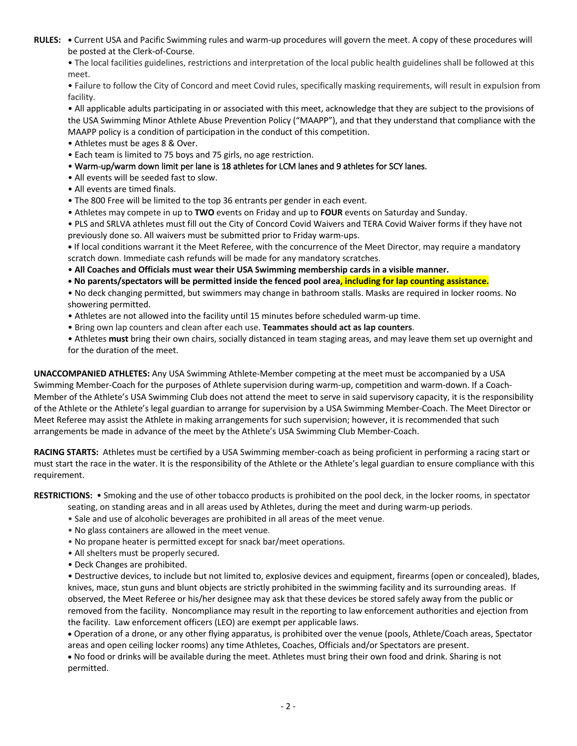**RULES: •** Current USA and Pacific Swimming rules and warm-up procedures will govern the meet. A copy of these procedures will be posted at the Clerk-of-Course.

• The local facilities guidelines, restrictions and interpretation of the local public health guidelines shall be followed at this meet.

• Failure to follow the City of Concord and meet Covid rules, specifically masking requirements, will result in expulsion from facility.

• All applicable adults participating in or associated with this meet, acknowledge that they are subject to the provisions of the USA Swimming Minor Athlete Abuse Prevention Policy ("MAAPP"), and that they understand that compliance with the MAAPP policy is a condition of participation in the conduct of this competition.

- Athletes must be ages 8 & Over.
- Each team is limited to 75 boys and 75 girls, no age restriction.
- Warm-up/warm down limit per lane is 18 athletes for LCM lanes and 9 athletes for SCY lanes.
- All events will be seeded fast to slow.
- All events are timed finals.
- The 800 Free will be limited to the top 36 entrants per gender in each event.
- Athletes may compete in up to **TWO** events on Friday and up to **FOUR** events on Saturday and Sunday.

• PLS and SRLVA athletes must fill out the City of Concord Covid Waivers and TERA Covid Waiver forms if they have not previously done so. All waivers must be submitted prior to Friday warm-ups.

**•** If local conditions warrant it the Meet Referee, with the concurrence of the Meet Director, may require a mandatory scratch down. Immediate cash refunds will be made for any mandatory scratches.

• **All Coaches and Officials must wear their USA Swimming membership cards in a visible manner.** 

**• No parents/spectators will be permitted inside the fenced pool area, including for lap counting assistance.**

• No deck changing permitted, but swimmers may change in bathroom stalls. Masks are required in locker rooms. No showering permitted.

- Athletes are not allowed into the facility until 15 minutes before scheduled warm-up time.
- Bring own lap counters and clean after each use. **Teammates should act as lap counters**.
- Athletes **must** bring their own chairs, socially distanced in team staging areas, and may leave them set up overnight and for the duration of the meet.

**UNACCOMPANIED ATHLETES:** Any USA Swimming Athlete-Member competing at the meet must be accompanied by a USA Swimming Member-Coach for the purposes of Athlete supervision during warm-up, competition and warm-down. If a Coach-Member of the Athlete's USA Swimming Club does not attend the meet to serve in said supervisory capacity, it is the responsibility of the Athlete or the Athlete's legal guardian to arrange for supervision by a USA Swimming Member-Coach. The Meet Director or Meet Referee may assist the Athlete in making arrangements for such supervision; however, it is recommended that such arrangements be made in advance of the meet by the Athlete's USA Swimming Club Member-Coach.

**RACING STARTS:** Athletes must be certified by a USA Swimming member-coach as being proficient in performing a racing start or must start the race in the water. It is the responsibility of the Athlete or the Athlete's legal guardian to ensure compliance with this requirement.

**RESTRICTIONS:** • Smoking and the use of other tobacco products is prohibited on the pool deck, in the locker rooms, in spectator

- seating, on standing areas and in all areas used by Athletes, during the meet and during warm-up periods.
- Sale and use of alcoholic beverages are prohibited in all areas of the meet venue.
- No glass containers are allowed in the meet venue.
- No propane heater is permitted except for snack bar/meet operations.
- All shelters must be properly secured.
- Deck Changes are prohibited.

• Destructive devices, to include but not limited to, explosive devices and equipment, firearms (open or concealed), blades, knives, mace, stun guns and blunt objects are strictly prohibited in the swimming facility and its surrounding areas. If observed, the Meet Referee or his/her designee may ask that these devices be stored safely away from the public or removed from the facility. Noncompliance may result in the reporting to law enforcement authorities and ejection from the facility. Law enforcement officers (LEO) are exempt per applicable laws.

• Operation of a drone, or any other flying apparatus, is prohibited over the venue (pools, Athlete/Coach areas, Spectator areas and open ceiling locker rooms) any time Athletes, Coaches, Officials and/or Spectators are present.

• No food or drinks will be available during the meet. Athletes must bring their own food and drink. Sharing is not permitted.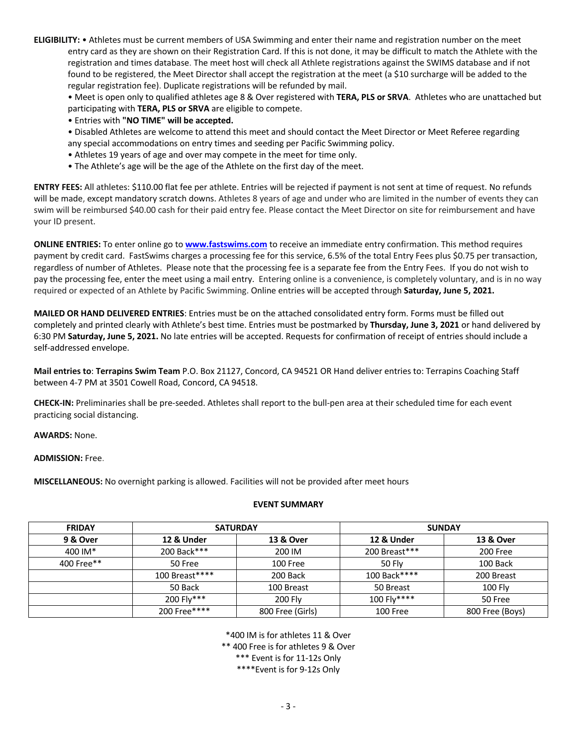**ELIGIBILITY:** • Athletes must be current members of USA Swimming and enter their name and registration number on the meet entry card as they are shown on their Registration Card. If this is not done, it may be difficult to match the Athlete with the registration and times database. The meet host will check all Athlete registrations against the SWIMS database and if not found to be registered, the Meet Director shall accept the registration at the meet (a \$10 surcharge will be added to the regular registration fee). Duplicate registrations will be refunded by mail.

• Meet is open only to qualified athletes age 8 & Over registered with **TERA, PLS or SRVA**. Athletes who are unattached but participating with **TERA, PLS or SRVA** are eligible to compete.

• Entries with **"NO TIME" will be accepted.**

• Disabled Athletes are welcome to attend this meet and should contact the Meet Director or Meet Referee regarding any special accommodations on entry times and seeding per Pacific Swimming policy.

- Athletes 19 years of age and over may compete in the meet for time only.
- The Athlete's age will be the age of the Athlete on the first day of the meet.

**ENTRY FEES:** All athletes: \$110.00 flat fee per athlete. Entries will be rejected if payment is not sent at time of request. No refunds will be made, except mandatory scratch downs. Athletes 8 years of age and under who are limited in the number of events they can swim will be reimbursed \$40.00 cash for their paid entry fee. Please contact the Meet Director on site for reimbursement and have your ID present.

**ONLINE ENTRIES:** To enter online go to **www.fastswims.com** to receive an immediate entry confirmation. This method requires payment by credit card. FastSwims charges a processing fee for this service, 6.5% of the total Entry Fees plus \$0.75 per transaction, regardless of number of Athletes. Please note that the processing fee is a separate fee from the Entry Fees. If you do not wish to pay the processing fee, enter the meet using a mail entry. Entering online is a convenience, is completely voluntary, and is in no way required or expected of an Athlete by Pacific Swimming. Online entries will be accepted through **Saturday, June 5, 2021.**

**MAILED OR HAND DELIVERED ENTRIES**: Entries must be on the attached consolidated entry form. Forms must be filled out completely and printed clearly with Athlete's best time. Entries must be postmarked by **Thursday, June 3, 2021** or hand delivered by 6:30 PM **Saturday, June 5, 2021.** No late entries will be accepted. Requests for confirmation of receipt of entries should include a self-addressed envelope.

**Mail entries to**: **Terrapins Swim Team** P.O. Box 21127, Concord, CA 94521 OR Hand deliver entries to: Terrapins Coaching Staff between 4-7 PM at 3501 Cowell Road, Concord, CA 94518.

**CHECK-IN:** Preliminaries shall be pre-seeded. Athletes shall report to the bull-pen area at their scheduled time for each event practicing social distancing.

**AWARDS:** None.

**ADMISSION:** Free.

**MISCELLANEOUS:** No overnight parking is allowed. Facilities will not be provided after meet hours

### **EVENT SUMMARY**

| <b>FRIDAY</b> |                | <b>SATURDAY</b>  |               | <b>SUNDAY</b>   |  |
|---------------|----------------|------------------|---------------|-----------------|--|
| 9 & Over      | 12 & Under     | 13 & Over        | 12 & Under    | 13 & Over       |  |
| 400 IM*       | 200 Back***    | 200 IM           | 200 Breast*** | 200 Free        |  |
| 400 Free**    | 50 Free        | 100 Free         | 50 Fly        | 100 Back        |  |
|               | 100 Breast**** | 200 Back         | 100 Back****  | 200 Breast      |  |
|               | 50 Back        | 100 Breast       | 50 Breast     | <b>100 Fly</b>  |  |
|               | 200 Fly***     | <b>200 Flv</b>   | 100 Flv****   | 50 Free         |  |
|               | 200 Free****   | 800 Free (Girls) | 100 Free      | 800 Free (Boys) |  |

\*400 IM is for athletes 11 & Over

\*\* 400 Free is for athletes 9 & Over

\*\*\* Event is for 11-12s Only

\*\*\*\*Event is for 9-12s Only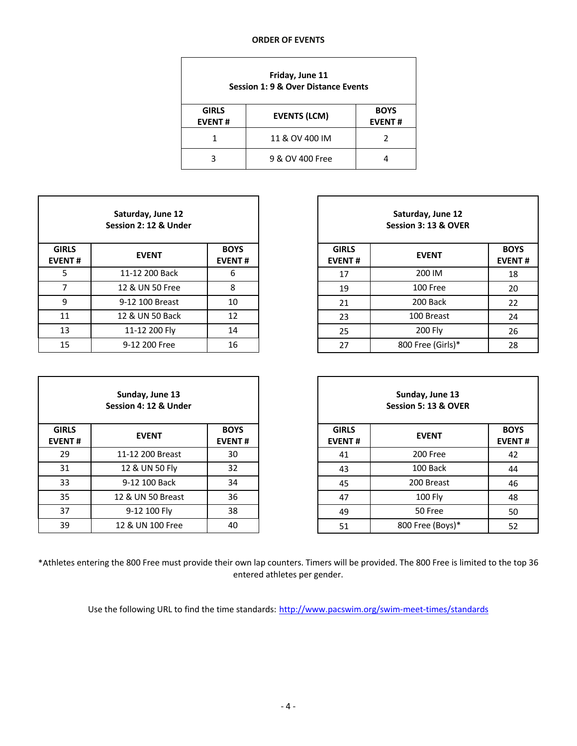#### **ORDER OF EVENTS**

| Friday, June 11<br><b>Session 1: 9 &amp; Over Distance Events</b> |                     |  |  |  |  |  |  |
|-------------------------------------------------------------------|---------------------|--|--|--|--|--|--|
| <b>GIRLS</b><br><b>EVENT#</b>                                     | <b>EVENTS (LCM)</b> |  |  |  |  |  |  |
|                                                                   | 11 & OV 400 IM      |  |  |  |  |  |  |
|                                                                   | 9 & OV 400 Free     |  |  |  |  |  |  |

| Saturday, June 12<br>Session 2: 12 & Under |                 |                              |  |  |  |  |  |
|--------------------------------------------|-----------------|------------------------------|--|--|--|--|--|
| <b>GIRLS</b><br><b>EVENT#</b>              | <b>EVENT</b>    | <b>BOYS</b><br><b>EVENT#</b> |  |  |  |  |  |
| 5                                          | 11-12 200 Back  | 6                            |  |  |  |  |  |
| 7                                          | 12 & UN 50 Free | 8                            |  |  |  |  |  |
| ٩                                          | 9-12 100 Breast | 10                           |  |  |  |  |  |
| 11                                         | 12 & UN 50 Back | 12                           |  |  |  |  |  |
| 13                                         | 11-12 200 Fly   | 14                           |  |  |  |  |  |
| 15                                         | 9-12 200 Free   | 16                           |  |  |  |  |  |

| Sunday, June 13<br>Session 4: 12 & Under |                   |                              |  |  |  |  |  |
|------------------------------------------|-------------------|------------------------------|--|--|--|--|--|
| <b>GIRLS</b><br><b>EVENT#</b>            | <b>EVENT</b>      | <b>BOYS</b><br><b>EVENT#</b> |  |  |  |  |  |
| 29                                       | 11-12 200 Breast  | 30                           |  |  |  |  |  |
| 31                                       | 12 & UN 50 Fly    | 32                           |  |  |  |  |  |
| 33                                       | 9-12 100 Back     | 34                           |  |  |  |  |  |
| 35                                       | 12 & UN 50 Breast | 36                           |  |  |  |  |  |
| 37                                       | 9-12 100 Fly      | 38                           |  |  |  |  |  |
| 39                                       | 12 & UN 100 Free  | 40                           |  |  |  |  |  |

| Saturday, June 12<br>Session 2: 12 & Under |                 |                              |                               | Saturday, June 12<br>Session 3: 13 & OVER |                              |  |
|--------------------------------------------|-----------------|------------------------------|-------------------------------|-------------------------------------------|------------------------------|--|
| <b>IRLS</b><br>ENT#                        | <b>EVENT</b>    | <b>BOYS</b><br><b>EVENT#</b> | <b>GIRLS</b><br><b>EVENT#</b> | <b>EVENT</b>                              | <b>BOYS</b><br><b>EVENT#</b> |  |
| 5                                          | 11-12 200 Back  | 6                            | 17                            | 200 IM                                    | 18                           |  |
| $\overline{7}$                             | 12 & UN 50 Free | 8                            | 19                            | 100 Free                                  | 20                           |  |
| 9                                          | 9-12 100 Breast | 10                           | 21                            | 200 Back                                  | 22                           |  |
| 11                                         | 12 & UN 50 Back | 12                           | 23                            | 100 Breast                                | 24                           |  |
| 13                                         | 11-12 200 Fly   | 14                           | 25                            | 200 Fly                                   | 26                           |  |
| 15                                         | 9-12 200 Free   | 16                           | 27                            | 800 Free (Girls)*                         | 28                           |  |

| Sunday, June 13<br>Session 4: 12 & Under |                   |                              |                               | Sunday, June 13<br>Session 5: 13 & OVER |                              |  |
|------------------------------------------|-------------------|------------------------------|-------------------------------|-----------------------------------------|------------------------------|--|
| IRLS<br>ENT#                             | <b>EVENT</b>      | <b>BOYS</b><br><b>EVENT#</b> | <b>GIRLS</b><br><b>EVENT#</b> | <b>EVENT</b>                            | <b>BOYS</b><br><b>EVENT#</b> |  |
| 29                                       | 11-12 200 Breast  | 30                           | 41                            | 200 Free                                | 42                           |  |
| 31                                       | 12 & UN 50 Fly    | 32                           | 43                            | 100 Back                                | 44                           |  |
| 33                                       | 9-12 100 Back     | 34                           | 45                            | 200 Breast                              | 46                           |  |
| 35                                       | 12 & UN 50 Breast | 36                           | 47                            | 100 Fly                                 | 48                           |  |
| 37                                       | 9-12 100 Fly      | 38                           | 49                            | 50 Free                                 | 50                           |  |
| 39                                       | 12 & UN 100 Free  | 40                           | 51                            | 800 Free (Boys)*                        | 52                           |  |

\*Athletes entering the 800 Free must provide their own lap counters. Timers will be provided. The 800 Free is limited to the top 36 entered athletes per gender.

Use the following URL to find the time standards: http://www.pacswim.org/swim-meet-times/standards